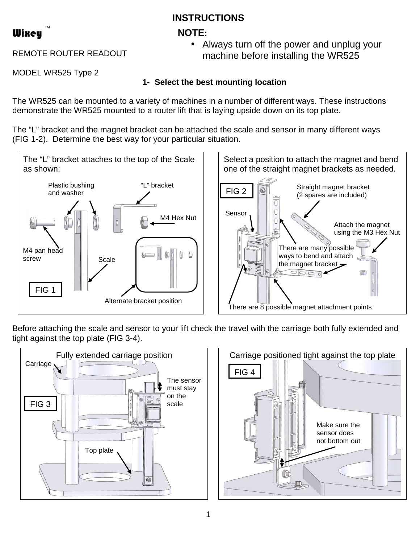# **INSTRUCTIONS**

# **NOTE:**



REMOTE ROUTER READOUT

• Always turn off the power and unplug your machine before installing the WR525

MODEL WR525 Type 2

# **1- Select the best mounting location**

The WR525 can be mounted to a variety of machines in a number of different ways. These instructions demonstrate the WR525 mounted to a router lift that is laying upside down on its top plate.

The "L" bracket and the magnet bracket can be attached the scale and sensor in many different ways (FIG 1-2). Determine the best way for your particular situation.



Before attaching the scale and sensor to your lift check the travel with the carriage both fully extended and tight against the top plate (FIG 3-4).



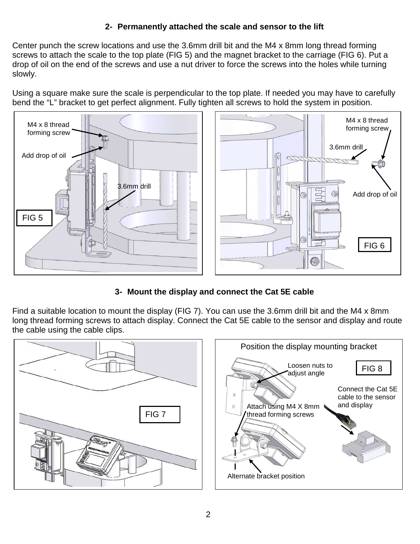### **2- Permanently attached the scale and sensor to the lift**

Center punch the screw locations and use the 3.6mm drill bit and the M4 x 8mm long thread forming screws to attach the scale to the top plate (FIG 5) and the magnet bracket to the carriage (FIG 6). Put a drop of oil on the end of the screws and use a nut driver to force the screws into the holes while turning slowly.

Using a square make sure the scale is perpendicular to the top plate. If needed you may have to carefully bend the "L" bracket to get perfect alignment. Fully tighten all screws to hold the system in position.



## **3- Mount the display and connect the Cat 5E cable**

Find a suitable location to mount the display (FIG 7). You can use the 3.6mm drill bit and the M4 x 8mm long thread forming screws to attach display. Connect the Cat 5E cable to the sensor and display and route the cable using the cable clips.

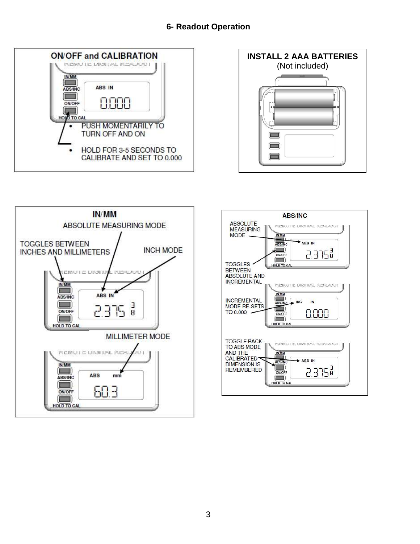### **6- Readout Operation**







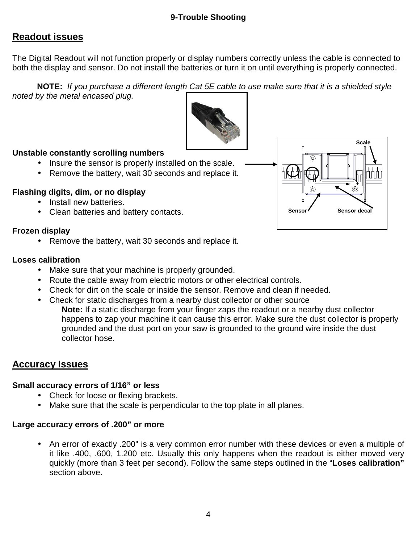### **9-Trouble Shooting**

# **Readout issues**

The Digital Readout will not function properly or display numbers correctly unless the cable is connected to both the display and sensor. Do not install the batteries or turn it on until everything is properly connected.

**NOTE:** If you purchase a different length Cat 5E cable to use make sure that it is a shielded style noted by the metal encased plug.



### **Unstable constantly scrolling numbers**

- Insure the sensor is properly installed on the scale.
- Remove the battery, wait 30 seconds and replace it.

### **Flashing digits, dim, or no display**

- Install new batteries.
- Clean batteries and battery contacts.

### **Frozen display**

• Remove the battery, wait 30 seconds and replace it.

### **Loses calibration**

- Make sure that your machine is properly grounded.
- Route the cable away from electric motors or other electrical controls.
- Check for dirt on the scale or inside the sensor. Remove and clean if needed.
- Check for static discharges from a nearby dust collector or other source
	- **Note:** If a static discharge from your finger zaps the readout or a nearby dust collector happens to zap your machine it can cause this error. Make sure the dust collector is properly grounded and the dust port on your saw is grounded to the ground wire inside the dust collector hose.

## **Accuracy Issues**

### **Small accuracy errors of 1/16" or less**

- Check for loose or flexing brackets.
- Make sure that the scale is perpendicular to the top plate in all planes.

### **Large accuracy errors of .200" or more**

• An error of exactly .200" is a very common error number with these devices or even a multiple of it like .400, .600, 1.200 etc. Usually this only happens when the readout is either moved very quickly (more than 3 feet per second). Follow the same steps outlined in the "**Loses calibration"**  section above**.**